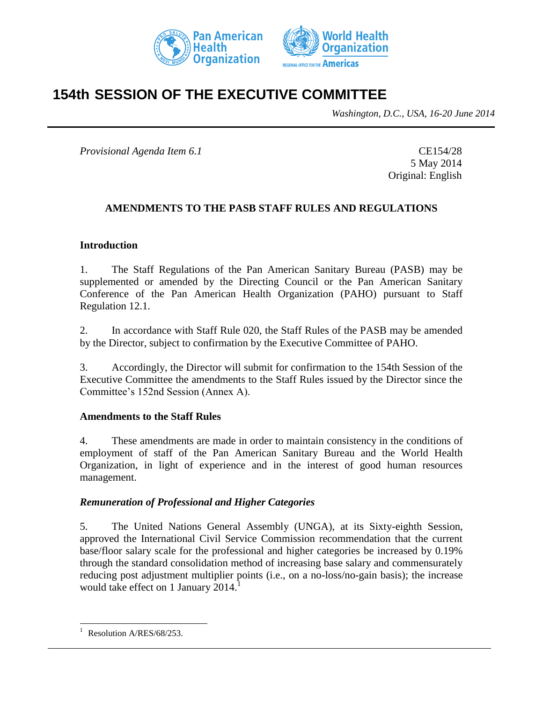



# **154th SESSION OF THE EXECUTIVE COMMITTEE**

*Washington, D.C., USA, 16-20 June 2014*

*Provisional Agenda Item 6.1* CE154/28

5 May 2014 Original: English

## **AMENDMENTS TO THE PASB STAFF RULES AND REGULATIONS**

#### **Introduction**

1. The Staff Regulations of the Pan American Sanitary Bureau (PASB) may be supplemented or amended by the Directing Council or the Pan American Sanitary Conference of the Pan American Health Organization (PAHO) pursuant to Staff Regulation 12.1.

2. In accordance with Staff Rule 020, the Staff Rules of the PASB may be amended by the Director, subject to confirmation by the Executive Committee of PAHO.

3. Accordingly, the Director will submit for confirmation to the 154th Session of the Executive Committee the amendments to the Staff Rules issued by the Director since the Committee's 152nd Session (Annex A).

#### **Amendments to the Staff Rules**

4. These amendments are made in order to maintain consistency in the conditions of employment of staff of the Pan American Sanitary Bureau and the World Health Organization, in light of experience and in the interest of good human resources management.

#### *Remuneration of Professional and Higher Categories*

5. The United Nations General Assembly (UNGA), at its Sixty-eighth Session, approved the International Civil Service Commission recommendation that the current base/floor salary scale for the professional and higher categories be increased by 0.19% through the standard consolidation method of increasing base salary and commensurately reducing post adjustment multiplier points (i.e., on a no-loss/no-gain basis); the increase would take effect on 1 January 2014.

l

Resolution A/RES/68/253.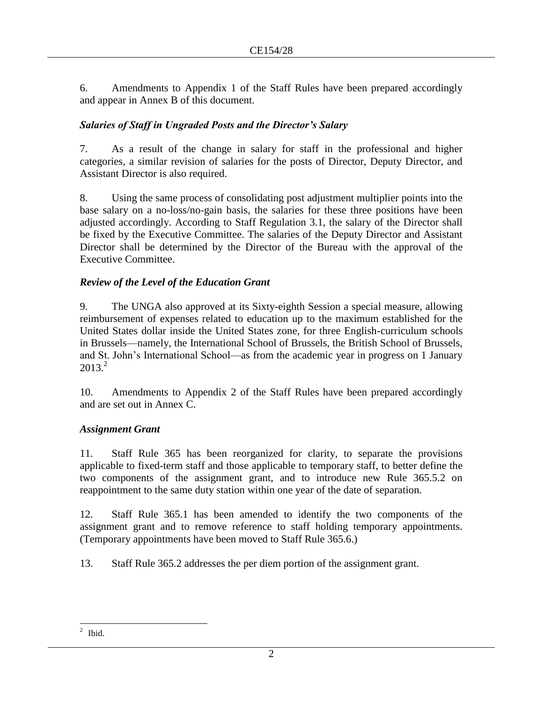6. Amendments to Appendix 1 of the Staff Rules have been prepared accordingly and appear in Annex B of this document.

## *Salaries of Staff in Ungraded Posts and the Director's Salary*

7. As a result of the change in salary for staff in the professional and higher categories, a similar revision of salaries for the posts of Director, Deputy Director, and Assistant Director is also required.

8. Using the same process of consolidating post adjustment multiplier points into the base salary on a no-loss/no-gain basis, the salaries for these three positions have been adjusted accordingly. According to Staff Regulation 3.1, the salary of the Director shall be fixed by the Executive Committee. The salaries of the Deputy Director and Assistant Director shall be determined by the Director of the Bureau with the approval of the Executive Committee.

## *Review of the Level of the Education Grant*

9. The UNGA also approved at its Sixty-eighth Session a special measure, allowing reimbursement of expenses related to education up to the maximum established for the United States dollar inside the United States zone, for three English-curriculum schools in Brussels—namely, the International School of Brussels, the British School of Brussels, and St. John's International School—as from the academic year in progress on 1 January  $2013<sup>2</sup>$ 

10. Amendments to Appendix 2 of the Staff Rules have been prepared accordingly and are set out in Annex C.

## *Assignment Grant*

11. Staff Rule 365 has been reorganized for clarity, to separate the provisions applicable to fixed-term staff and those applicable to temporary staff, to better define the two components of the assignment grant, and to introduce new Rule 365.5.2 on reappointment to the same duty station within one year of the date of separation.

12. Staff Rule 365.1 has been amended to identify the two components of the assignment grant and to remove reference to staff holding temporary appointments. (Temporary appointments have been moved to Staff Rule 365.6.)

13. Staff Rule 365.2 addresses the per diem portion of the assignment grant.

<sup>&</sup>lt;sup>2</sup> Ibid.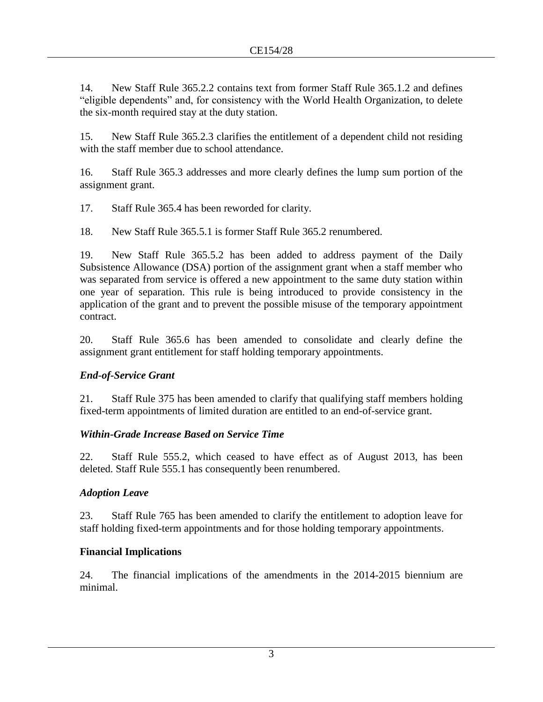14. New Staff Rule 365.2.2 contains text from former Staff Rule 365.1.2 and defines "eligible dependents" and, for consistency with the World Health Organization, to delete the six-month required stay at the duty station.

15. New Staff Rule 365.2.3 clarifies the entitlement of a dependent child not residing with the staff member due to school attendance.

16. Staff Rule 365.3 addresses and more clearly defines the lump sum portion of the assignment grant.

17. Staff Rule 365.4 has been reworded for clarity.

18. New Staff Rule 365.5.1 is former Staff Rule 365.2 renumbered.

19. New Staff Rule 365.5.2 has been added to address payment of the Daily Subsistence Allowance (DSA) portion of the assignment grant when a staff member who was separated from service is offered a new appointment to the same duty station within one year of separation. This rule is being introduced to provide consistency in the application of the grant and to prevent the possible misuse of the temporary appointment contract.

20. Staff Rule 365.6 has been amended to consolidate and clearly define the assignment grant entitlement for staff holding temporary appointments.

## *End-of-Service Grant*

21. Staff Rule 375 has been amended to clarify that qualifying staff members holding fixed-term appointments of limited duration are entitled to an end-of-service grant.

## *Within-Grade Increase Based on Service Time*

22. Staff Rule 555.2, which ceased to have effect as of August 2013, has been deleted. Staff Rule 555.1 has consequently been renumbered.

## *Adoption Leave*

23. Staff Rule 765 has been amended to clarify the entitlement to adoption leave for staff holding fixed-term appointments and for those holding temporary appointments.

## **Financial Implications**

24. The financial implications of the amendments in the 2014-2015 biennium are minimal.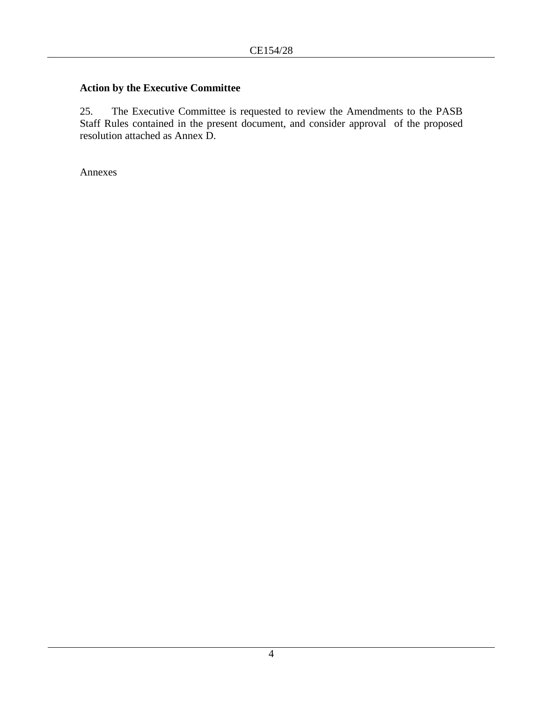## **Action by the Executive Committee**

25. The Executive Committee is requested to review the Amendments to the PASB Staff Rules contained in the present document, and consider approval of the proposed resolution attached as Annex D.

Annexes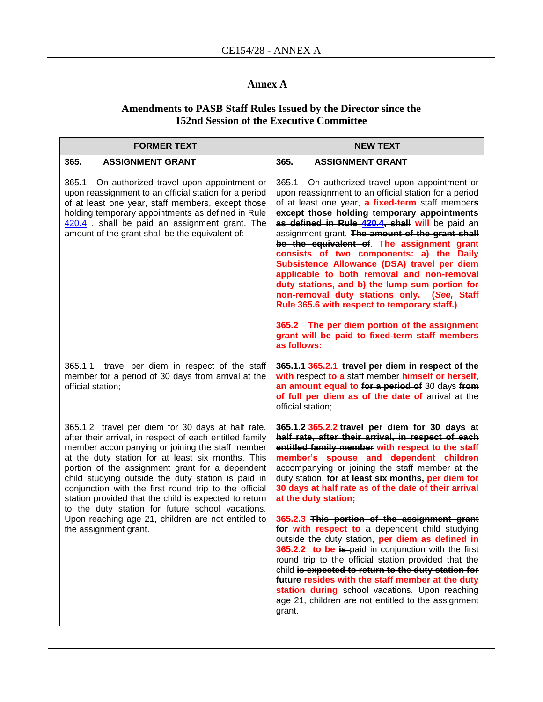## **Annex A**

#### **Amendments to PASB Staff Rules Issued by the Director since the 152nd Session of the Executive Committee**

| <b>FORMER TEXT</b>                                                                                                                                                                                                                                                                                                                                                                                                                                                                                                                                                                 | <b>NEW TEXT</b>                                                                                                                                                                                                                                                                                                                                                                                                                                                                                                                                                                                                                                                                                                                                                              |  |  |  |  |
|------------------------------------------------------------------------------------------------------------------------------------------------------------------------------------------------------------------------------------------------------------------------------------------------------------------------------------------------------------------------------------------------------------------------------------------------------------------------------------------------------------------------------------------------------------------------------------|------------------------------------------------------------------------------------------------------------------------------------------------------------------------------------------------------------------------------------------------------------------------------------------------------------------------------------------------------------------------------------------------------------------------------------------------------------------------------------------------------------------------------------------------------------------------------------------------------------------------------------------------------------------------------------------------------------------------------------------------------------------------------|--|--|--|--|
| 365.<br><b>ASSIGNMENT GRANT</b>                                                                                                                                                                                                                                                                                                                                                                                                                                                                                                                                                    | 365.<br><b>ASSIGNMENT GRANT</b>                                                                                                                                                                                                                                                                                                                                                                                                                                                                                                                                                                                                                                                                                                                                              |  |  |  |  |
| 365.1<br>On authorized travel upon appointment or<br>upon reassignment to an official station for a period<br>of at least one year, staff members, except those<br>holding temporary appointments as defined in Rule<br>420.4, shall be paid an assignment grant. The<br>amount of the grant shall be the equivalent of:                                                                                                                                                                                                                                                           | 365.1<br>On authorized travel upon appointment or<br>upon reassignment to an official station for a period<br>of at least one year, a fixed-term staff members<br>except those holding temporary appointments<br>as defined in Rule 420.4, shall will be paid an<br>assignment grant. The amount of the grant shall<br>be the equivalent of. The assignment grant<br>consists of two components: a) the Daily<br>Subsistence Allowance (DSA) travel per diem<br>applicable to both removal and non-removal<br>duty stations, and b) the lump sum portion for<br>non-removal duty stations only. (See, Staff<br>Rule 365.6 with respect to temporary staff.)                                                                                                                  |  |  |  |  |
|                                                                                                                                                                                                                                                                                                                                                                                                                                                                                                                                                                                    | 365.2 The per diem portion of the assignment<br>grant will be paid to fixed-term staff members<br>as follows:                                                                                                                                                                                                                                                                                                                                                                                                                                                                                                                                                                                                                                                                |  |  |  |  |
| 365.1.1 travel per diem in respect of the staff<br>member for a period of 30 days from arrival at the<br>official station;                                                                                                                                                                                                                                                                                                                                                                                                                                                         | 365.1.1 365.2.1 travel per diem in respect of the<br>with respect to a staff member himself or herself,<br>an amount equal to for a period of 30 days from<br>of full per diem as of the date of arrival at the<br>official station;                                                                                                                                                                                                                                                                                                                                                                                                                                                                                                                                         |  |  |  |  |
| 365.1.2 travel per diem for 30 days at half rate,<br>after their arrival, in respect of each entitled family<br>member accompanying or joining the staff member<br>at the duty station for at least six months. This<br>portion of the assignment grant for a dependent<br>child studying outside the duty station is paid in<br>conjunction with the first round trip to the official<br>station provided that the child is expected to return<br>to the duty station for future school vacations.<br>Upon reaching age 21, children are not entitled to<br>the assignment grant. | 365.1.2 365.2.2 travel per diem for 30 days at<br>half rate, after their arrival, in respect of each<br>entitled family member with respect to the staff<br>member's spouse and dependent children<br>accompanying or joining the staff member at the<br>duty station, for at least six months, per diem for<br>30 days at half rate as of the date of their arrival<br>at the duty station;<br>365.2.3 This portion of the assignment grant<br>for with respect to a dependent child studying<br>outside the duty station, per diem as defined in<br>365.2.2 to be is paid in conjunction with the first<br>round trip to the official station provided that the<br>child is expected to return to the duty station for<br>future resides with the staff member at the duty |  |  |  |  |
|                                                                                                                                                                                                                                                                                                                                                                                                                                                                                                                                                                                    | station during school vacations. Upon reaching<br>age 21, children are not entitled to the assignment<br>grant.                                                                                                                                                                                                                                                                                                                                                                                                                                                                                                                                                                                                                                                              |  |  |  |  |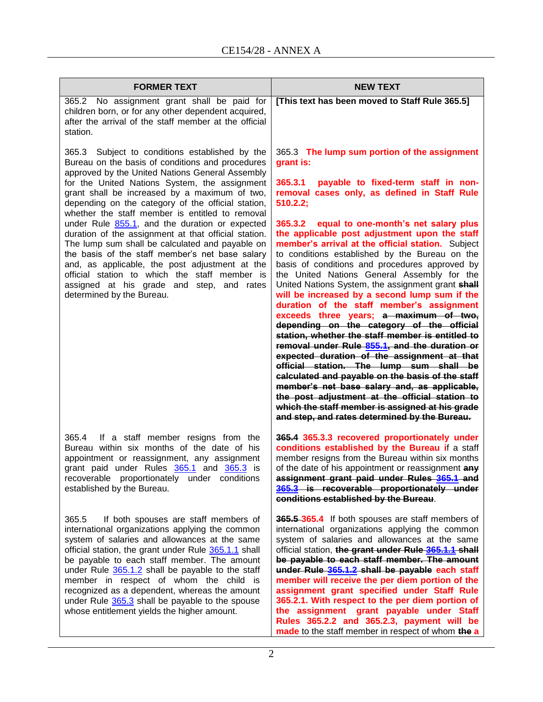| <b>FORMER TEXT</b>                                                                                                                                                                                                                                                                                                                                                                                                                                                                                                                                                                                                                                                                                                                                            | <b>NEW TEXT</b>                                                                                                                                                                                                                                                                                                                                                                                                                                                                                                                                                                                                                                                                                                                                                                                                                                                                                                                                                                                                                                                                                                                                                                     |  |  |  |  |
|---------------------------------------------------------------------------------------------------------------------------------------------------------------------------------------------------------------------------------------------------------------------------------------------------------------------------------------------------------------------------------------------------------------------------------------------------------------------------------------------------------------------------------------------------------------------------------------------------------------------------------------------------------------------------------------------------------------------------------------------------------------|-------------------------------------------------------------------------------------------------------------------------------------------------------------------------------------------------------------------------------------------------------------------------------------------------------------------------------------------------------------------------------------------------------------------------------------------------------------------------------------------------------------------------------------------------------------------------------------------------------------------------------------------------------------------------------------------------------------------------------------------------------------------------------------------------------------------------------------------------------------------------------------------------------------------------------------------------------------------------------------------------------------------------------------------------------------------------------------------------------------------------------------------------------------------------------------|--|--|--|--|
| 365.2 No assignment grant shall be paid for<br>children born, or for any other dependent acquired,<br>after the arrival of the staff member at the official<br>station.                                                                                                                                                                                                                                                                                                                                                                                                                                                                                                                                                                                       | [This text has been moved to Staff Rule 365.5]                                                                                                                                                                                                                                                                                                                                                                                                                                                                                                                                                                                                                                                                                                                                                                                                                                                                                                                                                                                                                                                                                                                                      |  |  |  |  |
| 365.3 Subject to conditions established by the<br>Bureau on the basis of conditions and procedures<br>approved by the United Nations General Assembly<br>for the United Nations System, the assignment<br>grant shall be increased by a maximum of two,<br>depending on the category of the official station,<br>whether the staff member is entitled to removal<br>under Rule 855.1, and the duration or expected<br>duration of the assignment at that official station.<br>The lump sum shall be calculated and payable on<br>the basis of the staff member's net base salary<br>and, as applicable, the post adjustment at the<br>official station to which the staff member is<br>assigned at his grade and step, and rates<br>determined by the Bureau. | 365.3 The lump sum portion of the assignment<br>grant is:<br>365.3.1<br>payable to fixed-term staff in non-<br>removal cases only, as defined in Staff Rule<br>510.2.2;<br>365.3.2 equal to one-month's net salary plus<br>the applicable post adjustment upon the staff<br>member's arrival at the official station. Subject<br>to conditions established by the Bureau on the<br>basis of conditions and procedures approved by<br>the United Nations General Assembly for the<br>United Nations System, the assignment grant shall<br>will be increased by a second lump sum if the<br>duration of the staff member's assignment<br>exceeds three years; a maximum of two,<br>depending on the category of the official<br>station, whether the staff member is entitled to<br>removal under Rule 855.1, and the duration or<br>expected duration of the assignment at that<br>official station. The lump sum shall be<br>calculated and payable on the basis of the staff<br>member's net base salary and, as applicable,<br>the post adjustment at the official station to<br>which the staff member is assigned at his grade<br>and step, and rates determined by the Bureau. |  |  |  |  |
| 365.4 If a staff member resigns from the<br>Bureau within six months of the date of his<br>appointment or reassignment, any assignment<br>grant paid under Rules 365.1 and 365.3 is<br>recoverable proportionately under conditions<br>established by the Bureau.                                                                                                                                                                                                                                                                                                                                                                                                                                                                                             | 365.4 365.3.3 recovered proportionately under<br>conditions established by the Bureau if a staff<br>member resigns from the Bureau within six months<br>of the date of his appointment or reassignment any<br>assignment grant paid under Rules 365.1 and<br>365.3 is recoverable proportionately under<br>conditions established by the Bureau.                                                                                                                                                                                                                                                                                                                                                                                                                                                                                                                                                                                                                                                                                                                                                                                                                                    |  |  |  |  |
| 365.5<br>If both spouses are staff members of<br>international organizations applying the common<br>system of salaries and allowances at the same<br>official station, the grant under Rule 365.1.1 shall<br>be payable to each staff member. The amount<br>under Rule 365.1.2 shall be payable to the staff<br>member in respect of whom the child is<br>recognized as a dependent, whereas the amount<br>under Rule 365.3 shall be payable to the spouse<br>whose entitlement yields the higher amount.                                                                                                                                                                                                                                                     | 365.5-365.4 If both spouses are staff members of<br>international organizations applying the common<br>system of salaries and allowances at the same<br>official station, the grant under Rule 365.1.1 shall<br>be payable to each staff member. The amount<br>under Rule 365.1.2 shall be payable each staff<br>member will receive the per diem portion of the<br>assignment grant specified under Staff Rule<br>365.2.1. With respect to the per diem portion of<br>the assignment grant payable under Staff<br>Rules 365.2.2 and 365.2.3, payment will be<br>made to the staff member in respect of whom the a                                                                                                                                                                                                                                                                                                                                                                                                                                                                                                                                                                  |  |  |  |  |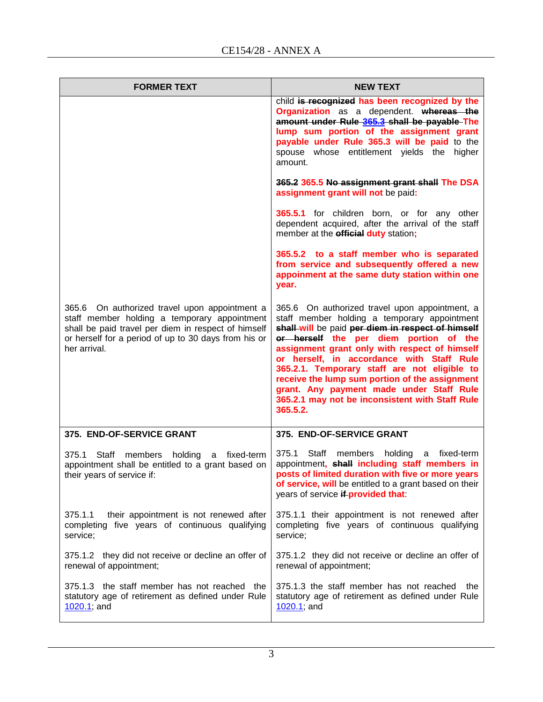| <b>FORMER TEXT</b>                                                                                                                                                                                                           | <b>NEW TEXT</b>                                                                                                                                                                                                                                                                                                                                                                                                                                                                                          |  |  |  |  |  |
|------------------------------------------------------------------------------------------------------------------------------------------------------------------------------------------------------------------------------|----------------------------------------------------------------------------------------------------------------------------------------------------------------------------------------------------------------------------------------------------------------------------------------------------------------------------------------------------------------------------------------------------------------------------------------------------------------------------------------------------------|--|--|--|--|--|
|                                                                                                                                                                                                                              | child is recognized has been recognized by the<br>Organization as a dependent. whereas the<br>amount under Rule 365.3 shall be payable The<br>lump sum portion of the assignment grant<br>payable under Rule 365.3 will be paid to the<br>spouse whose entitlement yields the higher<br>amount.                                                                                                                                                                                                          |  |  |  |  |  |
|                                                                                                                                                                                                                              | 365.2 365.5 No assignment grant shall The DSA<br>assignment grant will not be paid:                                                                                                                                                                                                                                                                                                                                                                                                                      |  |  |  |  |  |
|                                                                                                                                                                                                                              | 365.5.1 for children born, or for any other<br>dependent acquired, after the arrival of the staff<br>member at the <b>official duty</b> station;                                                                                                                                                                                                                                                                                                                                                         |  |  |  |  |  |
|                                                                                                                                                                                                                              | 365.5.2 to a staff member who is separated<br>from service and subsequently offered a new<br>appoinment at the same duty station within one<br>year.                                                                                                                                                                                                                                                                                                                                                     |  |  |  |  |  |
| 365.6 On authorized travel upon appointment a<br>staff member holding a temporary appointment<br>shall be paid travel per diem in respect of himself<br>or herself for a period of up to 30 days from his or<br>her arrival. | 365.6 On authorized travel upon appointment, a<br>staff member holding a temporary appointment<br>shall-will be paid per diem in respect of himself<br>or herself the per diem portion of the<br>assignment grant only with respect of himself<br>or herself, in accordance with Staff Rule<br>365.2.1. Temporary staff are not eligible to<br>receive the lump sum portion of the assignment<br>grant. Any payment made under Staff Rule<br>365.2.1 may not be inconsistent with Staff Rule<br>365.5.2. |  |  |  |  |  |
| 375. END-OF-SERVICE GRANT                                                                                                                                                                                                    | 375. END-OF-SERVICE GRANT                                                                                                                                                                                                                                                                                                                                                                                                                                                                                |  |  |  |  |  |
| 375.1 Staff members holding a fixed-term<br>appointment shall be entitled to a grant based on<br>their years of service if:                                                                                                  | 375.1 Staff members holding a fixed-term<br>appointment, shall including staff members in<br>posts of limited duration with five or more years<br>of service, will be entitled to a grant based on their<br>years of service if provided that:                                                                                                                                                                                                                                                           |  |  |  |  |  |
| 375.1.1<br>their appointment is not renewed after<br>completing five years of continuous qualifying<br>service;                                                                                                              | 375.1.1 their appointment is not renewed after<br>completing five years of continuous qualifying<br>service;                                                                                                                                                                                                                                                                                                                                                                                             |  |  |  |  |  |
| 375.1.2 they did not receive or decline an offer of<br>renewal of appointment;                                                                                                                                               | 375.1.2 they did not receive or decline an offer of<br>renewal of appointment;                                                                                                                                                                                                                                                                                                                                                                                                                           |  |  |  |  |  |
| 375.1.3 the staff member has not reached the<br>statutory age of retirement as defined under Rule<br>$1020.1$ ; and                                                                                                          | 375.1.3 the staff member has not reached<br>the<br>statutory age of retirement as defined under Rule<br>$1020.1$ ; and                                                                                                                                                                                                                                                                                                                                                                                   |  |  |  |  |  |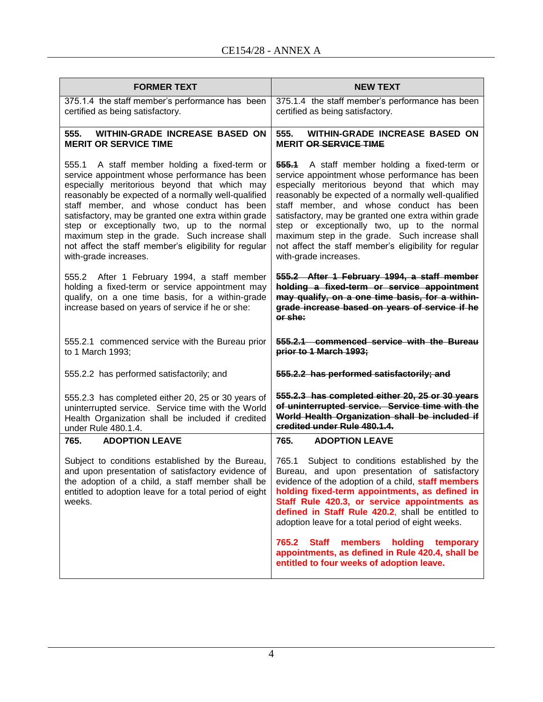| <b>FORMER TEXT</b>                                                                                                                                                                                                                                                                                                                                                                                                                                                                          | <b>NEW TEXT</b>                                                                                                                                                                                                                                                                                                                                                                                                                                                                                                                   |  |  |  |  |  |
|---------------------------------------------------------------------------------------------------------------------------------------------------------------------------------------------------------------------------------------------------------------------------------------------------------------------------------------------------------------------------------------------------------------------------------------------------------------------------------------------|-----------------------------------------------------------------------------------------------------------------------------------------------------------------------------------------------------------------------------------------------------------------------------------------------------------------------------------------------------------------------------------------------------------------------------------------------------------------------------------------------------------------------------------|--|--|--|--|--|
| 375.1.4 the staff member's performance has been<br>certified as being satisfactory.                                                                                                                                                                                                                                                                                                                                                                                                         | 375.1.4 the staff member's performance has been<br>certified as being satisfactory.<br>555.<br>WITHIN-GRADE INCREASE BASED ON<br><b>MERIT OR SERVICE TIME</b><br><b>555.1</b> A staff member holding a fixed-term or<br>service appointment whose performance has been<br>especially meritorious beyond that which may                                                                                                                                                                                                            |  |  |  |  |  |
| <b>WITHIN-GRADE INCREASE BASED ON</b><br>555.<br><b>MERIT OR SERVICE TIME</b>                                                                                                                                                                                                                                                                                                                                                                                                               |                                                                                                                                                                                                                                                                                                                                                                                                                                                                                                                                   |  |  |  |  |  |
| 555.1 A staff member holding a fixed-term or<br>service appointment whose performance has been<br>especially meritorious beyond that which may<br>reasonably be expected of a normally well-qualified<br>staff member, and whose conduct has been<br>satisfactory, may be granted one extra within grade<br>step or exceptionally two, up to the normal<br>maximum step in the grade. Such increase shall<br>not affect the staff member's eligibility for regular<br>with-grade increases. | reasonably be expected of a normally well-qualified<br>staff member, and whose conduct has been<br>satisfactory, may be granted one extra within grade<br>step or exceptionally two, up to the normal<br>maximum step in the grade. Such increase shall<br>not affect the staff member's eligibility for regular<br>with-grade increases.                                                                                                                                                                                         |  |  |  |  |  |
| 555.2 After 1 February 1994, a staff member<br>holding a fixed-term or service appointment may<br>qualify, on a one time basis, for a within-grade<br>increase based on years of service if he or she:                                                                                                                                                                                                                                                                                      | 555.2 After 1 February 1994, a staff member<br>holding a fixed-term or service appointment<br>may qualify, on a one time basis, for a within-<br>grade increase based on years of service if he<br>or she:                                                                                                                                                                                                                                                                                                                        |  |  |  |  |  |
| 555.2.1 commenced service with the Bureau prior<br>to 1 March 1993;                                                                                                                                                                                                                                                                                                                                                                                                                         | 555.2.1 commenced service with the Bureau<br>prior to 1 March 1993;                                                                                                                                                                                                                                                                                                                                                                                                                                                               |  |  |  |  |  |
| 555.2.2 has performed satisfactorily; and                                                                                                                                                                                                                                                                                                                                                                                                                                                   | 555.2.2 has performed satisfactorily; and                                                                                                                                                                                                                                                                                                                                                                                                                                                                                         |  |  |  |  |  |
| 555.2.3 has completed either 20, 25 or 30 years of<br>uninterrupted service. Service time with the World<br>Health Organization shall be included if credited<br>under Rule 480.1.4.                                                                                                                                                                                                                                                                                                        | 555.2.3 has completed either 20, 25 or 30 years<br>of uninterrupted service. Service time with the<br>World Health Organization shall be included if<br>credited under Rule 480.1.4.                                                                                                                                                                                                                                                                                                                                              |  |  |  |  |  |
| 765.<br><b>ADOPTION LEAVE</b>                                                                                                                                                                                                                                                                                                                                                                                                                                                               | 765.<br><b>ADOPTION LEAVE</b>                                                                                                                                                                                                                                                                                                                                                                                                                                                                                                     |  |  |  |  |  |
| Subject to conditions established by the Bureau,<br>and upon presentation of satisfactory evidence of<br>the adoption of a child, a staff member shall be<br>entitled to adoption leave for a total period of eight<br>weeks.                                                                                                                                                                                                                                                               | 765.1<br>Subject to conditions established by the<br>Bureau, and upon presentation of satisfactory<br>evidence of the adoption of a child, staff members<br>holding fixed-term appointments, as defined in<br>Staff Rule 420.3, or service appointments as<br>defined in Staff Rule 420.2, shall be entitled to<br>adoption leave for a total period of eight weeks.<br>765.2<br><b>Staff</b><br>members<br>holding<br>temporary<br>appointments, as defined in Rule 420.4, shall be<br>entitled to four weeks of adoption leave. |  |  |  |  |  |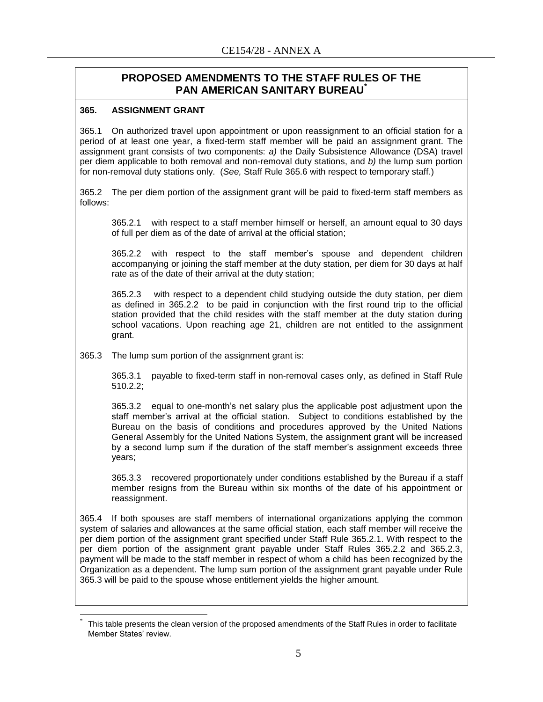## **PROPOSED AMENDMENTS TO THE STAFF RULES OF THE PAN AMERICAN SANITARY BUREAU\***

#### **365. ASSIGNMENT GRANT**

 $\overline{\phantom{a}}$ 

365.1 On authorized travel upon appointment or upon reassignment to an official station for a period of at least one year, a fixed-term staff member will be paid an assignment grant. The assignment grant consists of two components: *a)* the Daily Subsistence Allowance (DSA) travel per diem applicable to both removal and non-removal duty stations, and *b)* the lump sum portion for non-removal duty stations only. (*See,* Staff Rule 365.6 with respect to temporary staff.)

365.2 The per diem portion of the assignment grant will be paid to fixed-term staff members as follows:

365.2.1 with respect to a staff member himself or herself, an amount equal to 30 days of full per diem as of the date of arrival at the official station;

365.2.2 with respect to the staff member's spouse and dependent children accompanying or joining the staff member at the duty station, per diem for 30 days at half rate as of the date of their arrival at the duty station;

365.2.3 with respect to a dependent child studying outside the duty station, per diem as defined in 365.2.2 to be paid in conjunction with the first round trip to the official station provided that the child resides with the staff member at the duty station during school vacations. Upon reaching age 21, children are not entitled to the assignment grant.

365.3 The lump sum portion of the assignment grant is:

365.3.1 payable to fixed-term staff in non-removal cases only, as defined in Staff Rule 510.2.2;

365.3.2 equal to one-month's net salary plus the applicable post adjustment upon the staff member's arrival at the official station. Subject to conditions established by the Bureau on the basis of conditions and procedures approved by the United Nations General Assembly for the United Nations System, the assignment grant will be increased by a second lump sum if the duration of the staff member's assignment exceeds three years;

365.3.3 recovered proportionately under conditions established by the Bureau if a staff member resigns from the Bureau within six months of the date of his appointment or reassignment.

365.4 If both spouses are staff members of international organizations applying the common system of salaries and allowances at the same official station, each staff member will receive the per diem portion of the assignment grant specified under Staff Rule 365.2.1. With respect to the per diem portion of the assignment grant payable under Staff Rules 365.2.2 and 365.2.3, payment will be made to the staff member in respect of whom a child has been recognized by the Organization as a dependent. The lump sum portion of the assignment grant payable under Rule 365.3 will be paid to the spouse whose entitlement yields the higher amount.

<sup>\*</sup> This table presents the clean version of the proposed amendments of the Staff Rules in order to facilitate Member States' review.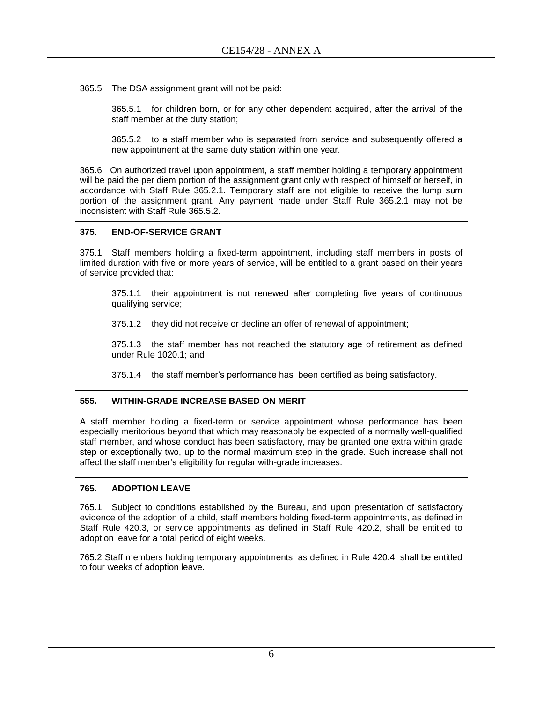365.5 The DSA assignment grant will not be paid:

365.5.1 for children born, or for any other dependent acquired, after the arrival of the staff member at the duty station;

365.5.2 to a staff member who is separated from service and subsequently offered a new appointment at the same duty station within one year.

365.6 On authorized travel upon appointment, a staff member holding a temporary appointment will be paid the per diem portion of the assignment grant only with respect of himself or herself, in accordance with Staff Rule 365.2.1. Temporary staff are not eligible to receive the lump sum portion of the assignment grant. Any payment made under Staff Rule 365.2.1 may not be inconsistent with Staff Rule 365.5.2.

#### **375. END-OF-SERVICE GRANT**

375.1 Staff members holding a fixed-term appointment, including staff members in posts of limited duration with five or more years of service, will be entitled to a grant based on their years of service provided that:

375.1.1 their appointment is not renewed after completing five years of continuous qualifying service;

375.1.2 they did not receive or decline an offer of renewal of appointment;

375.1.3 the staff member has not reached the statutory age of retirement as defined under Rule [1020.1;](file:///G:/Staff%20Rules/2013_July/2013%20English%20doc,%20Jul13.doc%23Rules1020_1) and

375.1.4 the staff member's performance has been certified as being satisfactory.

#### **555. WITHIN-GRADE INCREASE BASED ON MERIT**

A staff member holding a fixed-term or service appointment whose performance has been especially meritorious beyond that which may reasonably be expected of a normally well-qualified staff member, and whose conduct has been satisfactory, may be granted one extra within grade step or exceptionally two, up to the normal maximum step in the grade. Such increase shall not affect the staff member's eligibility for regular with-grade increases.

#### **765. ADOPTION LEAVE**

765.1 Subject to conditions established by the Bureau, and upon presentation of satisfactory evidence of the adoption of a child, staff members holding fixed-term appointments, as defined in Staff Rule 420.3, or service appointments as defined in Staff Rule 420.2, shall be entitled to adoption leave for a total period of eight weeks.

765.2 Staff members holding temporary appointments, as defined in Rule 420.4, shall be entitled to four weeks of adoption leave.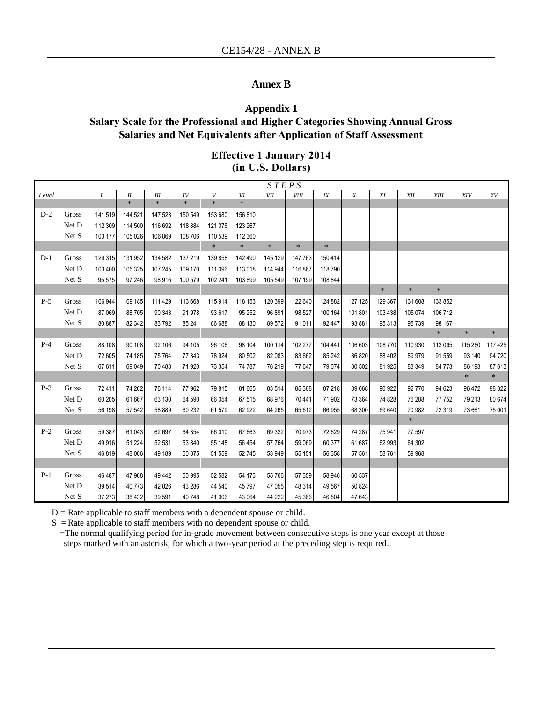#### **Annex B**

## **Appendix 1 Salary Scale for the Professional and Higher Categories Showing Annual Gross Salaries and Net Equivalents after Application of Staff Assessment**

#### **Effective 1 January 2014 (in U.S. Dollars)**

|       |       | STEPS            |         |         |             |                  |         |            |         |         |                  |         |         |         |         |         |
|-------|-------|------------------|---------|---------|-------------|------------------|---------|------------|---------|---------|------------------|---------|---------|---------|---------|---------|
| Level |       | $\boldsymbol{I}$ | I       | III     | ${\cal IV}$ | $\boldsymbol{V}$ | VI      | <b>VII</b> | VIII    | $I\!X$  | $\boldsymbol{X}$ | XI      | XII     | XIII    | XIV     | XV      |
|       |       |                  | $\ast$  | $\ast$  | $\ast$      | $\ast$           | $\ast$  |            |         |         |                  |         |         |         |         |         |
| $D-2$ | Gross | 141 519          | 144 521 | 147 523 | 150 549     | 153 680          | 156 810 |            |         |         |                  |         |         |         |         |         |
|       | Net D | 112 309          | 114 500 | 116 692 | 118 884     | 121 076          | 123 267 |            |         |         |                  |         |         |         |         |         |
|       | Net S | 103 177          | 105 026 | 106 869 | 108 706     | 110 539          | 112 360 |            |         |         |                  |         |         |         |         |         |
|       |       |                  |         |         |             | $\ast$           | $\ast$  | $\ast$     | $\ast$  | $\ast$  |                  |         |         |         |         |         |
| $D-1$ | Gross | 129 315          | 131 952 | 134 582 | 137 219     | 139 858          | 142 490 | 145 129    | 147763  | 150 414 |                  |         |         |         |         |         |
|       | Net D | 103 400          | 105 325 | 107 245 | 109 170     | 111 096          | 113 018 | 114 944    | 116 867 | 118790  |                  |         |         |         |         |         |
|       | Net S | 95 575           | 97 246  | 98 916  | 100 579     | 102 241          | 103 899 | 105 549    | 107 199 | 108 844 |                  |         |         |         |         |         |
|       |       |                  |         |         |             |                  |         |            |         |         |                  | $\ast$  | $\ast$  | $\ast$  |         |         |
| $P-5$ | Gross | 106 944          | 109 185 | 111 429 | 113 668     | 115 914          | 118 153 | 120 399    | 122 640 | 124 882 | 127 125          | 129 367 | 131 608 | 133 852 |         |         |
|       | Net D | 87 069           | 88705   | 90 343  | 91 978      | 93 617           | 95 25 2 | 96 891     | 98 527  | 100 164 | 101801           | 103 438 | 105 074 | 106 712 |         |         |
|       | Net S | 80 887           | 82 342  | 83 792  | 85 241      | 86 688           | 88 130  | 89 572     | 91 011  | 92 447  | 93 881           | 95 313  | 96 739  | 98 167  |         |         |
|       |       |                  |         |         |             |                  |         |            |         |         |                  |         |         | $\ast$  | $\ast$  | $\ast$  |
| $P-4$ | Gross | 88 108           | 90 108  | 92 106  | 94 105      | 96 106           | 98 104  | 100 114    | 102 277 | 104 441 | 106 603          | 108 770 | 110 930 | 113 095 | 115 260 | 117 425 |
|       | Net D | 72 605           | 74 185  | 75 764  | 77 343      | 78 924           | 80 502  | 82 083     | 83 662  | 85 24 2 | 86 820           | 88 402  | 89 979  | 91 559  | 93 140  | 94 720  |
|       | Net S | 67 611           | 69 049  | 70 488  | 71 920      | 73 354           | 74 787  | 76 219     | 77 647  | 79 074  | 80 502           | 81 925  | 83 349  | 84 773  | 86 193  | 87 613  |
|       |       |                  |         |         |             |                  |         |            |         |         |                  |         |         |         | $\ast$  | $\ast$  |
| $P-3$ | Gross | 72 411           | 74 262  | 76 114  | 77962       | 79815            | 81 665  | 83 514     | 85 368  | 87 218  | 89 068           | 90 922  | 92 770  | 94 623  | 96 472  | 98 322  |
|       | Net D | 60 205           | 61 667  | 63 130  | 64 590      | 66 054           | 67 515  | 68 976     | 70 441  | 71 902  | 73 364           | 74 828  | 76 288  | 77 752  | 79 213  | 80 674  |
|       | Net S | 56 198           | 57 542  | 58 889  | 60 232      | 61 579           | 62 922  | 64 265     | 65 612  | 66 955  | 68 300           | 69 640  | 70 982  | 72 319  | 73 661  | 75 001  |
|       |       |                  |         |         |             |                  |         |            |         |         |                  |         | $\ast$  |         |         |         |
| $P-2$ | Gross | 59 387           | 61 043  | 62 697  | 64 354      | 66 010           | 67 663  | 69 322     | 70 973  | 72 629  | 74 287           | 75 941  | 77 597  |         |         |         |
|       | Net D | 49 916           | 51 224  | 52 531  | 53 840      | 55 148           | 56 454  | 57 764     | 59 069  | 60 377  | 61 687           | 62 993  | 64 302  |         |         |         |
|       | Net S | 46 819           | 48 006  | 49 189  | 50 375      | 51 559           | 52745   | 53 949     | 55 151  | 56 358  | 57 561           | 58 761  | 59 968  |         |         |         |
|       |       |                  |         |         |             |                  |         |            |         |         |                  |         |         |         |         |         |
| $P-1$ | Gross | 46 487           | 47 968  | 49 442  | 50 995      | 52 582           | 54 173  | 55 766     | 57 359  | 58 946  | 60 537           |         |         |         |         |         |
|       | Net D | 39 514           | 40773   | 42 0 26 | 43 286      | 44 540           | 45 797  | 47 055     | 48 314  | 49 567  | 50 824           |         |         |         |         |         |
|       | Net S | 37 27 3          | 38 4 32 | 39 591  | 40748       | 41 906           | 43 064  | 44 222     | 45 366  | 46 504  | 47 643           |         |         |         |         |         |

 $D =$  Rate applicable to staff members with a dependent spouse or child.

 $S =$ Rate applicable to staff members with no dependent spouse or child.

**=**The normal qualifying period for in-grade movement between consecutive steps is one year except at those steps marked with an asterisk, for which a two-year period at the preceding step is required.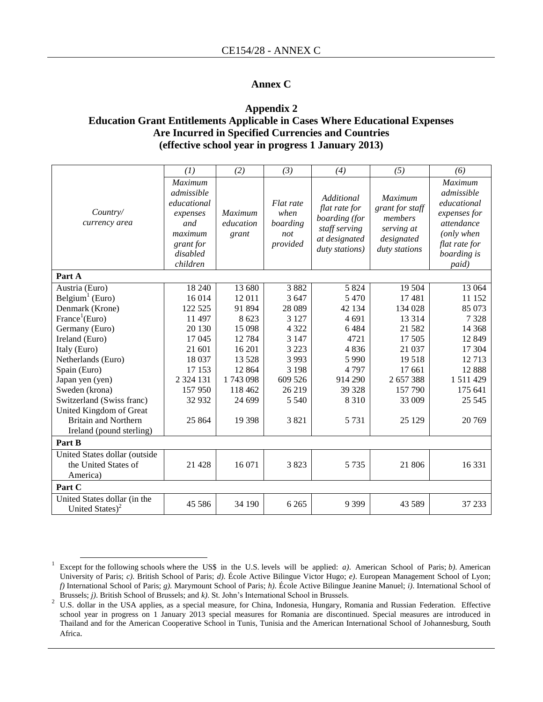#### **Annex C**

#### **Appendix 2 Education Grant Entitlements Applicable in Cases Where Educational Expenses Are Incurred in Specified Currencies and Countries (effective school year in progress 1 January 2013)**

|                                                                   | (1)                                                                                                     | (2)                                  | (3)                                              | (4)                                                                                              | (5)                                                                                       | (6)                                                                                                                              |
|-------------------------------------------------------------------|---------------------------------------------------------------------------------------------------------|--------------------------------------|--------------------------------------------------|--------------------------------------------------------------------------------------------------|-------------------------------------------------------------------------------------------|----------------------------------------------------------------------------------------------------------------------------------|
| Country/<br>currency area                                         | Maximum<br>admissible<br>educational<br>expenses<br>and<br>maximum<br>grant for<br>disabled<br>children | <b>Maximum</b><br>education<br>grant | Flat rate<br>when<br>boarding<br>not<br>provided | Additional<br>flat rate for<br>boarding (for<br>staff serving<br>at designated<br>duty stations) | <b>Maximum</b><br>grant for staff<br>members<br>serving at<br>designated<br>duty stations | <b>Maximum</b><br>admissible<br>educational<br>expenses for<br>attendance<br>(only when<br>flat rate for<br>boarding is<br>paid) |
| Part A                                                            |                                                                                                         |                                      |                                                  |                                                                                                  |                                                                                           |                                                                                                                                  |
| Austria (Euro)                                                    | 18 240                                                                                                  | 13 680                               | 3882                                             | 5 8 2 4                                                                                          | 19 504                                                                                    | 13 064                                                                                                                           |
| Belgium <sup>1</sup> (Euro)                                       | 16 014                                                                                                  | 12 011                               | 3 6 4 7                                          | 5 4 7 0                                                                                          | 17481                                                                                     | 11 152                                                                                                                           |
| Denmark (Krone)                                                   | 122 525                                                                                                 | 91 894                               | 28 0 89                                          | 42 134                                                                                           | 134 028                                                                                   | 85 073                                                                                                                           |
| France <sup>1</sup> (Euro)                                        | 11 497                                                                                                  | 8 6 23                               | 3 1 2 7                                          | 4 691                                                                                            | 13 3 14                                                                                   | 7328                                                                                                                             |
| Germany (Euro)                                                    | 20 130                                                                                                  | 15 0 98                              | 4 3 2 2                                          | 6484                                                                                             | 21 5 8 2                                                                                  | 14 3 68                                                                                                                          |
| Ireland (Euro)                                                    | 17045                                                                                                   | 12784                                | 3 1 4 7                                          | 4721                                                                                             | 17 505                                                                                    | 12 8 49                                                                                                                          |
| Italy (Euro)                                                      | 21 601                                                                                                  | 16 201                               | 3 2 2 3                                          | 4836                                                                                             | 21 037                                                                                    | 17 304                                                                                                                           |
| Netherlands (Euro)                                                | 18 037                                                                                                  | 13 5 28                              | 3 9 9 3                                          | 5 9 9 0                                                                                          | 19518                                                                                     | 12713                                                                                                                            |
| Spain (Euro)                                                      | 17 153                                                                                                  | 12 8 6 4                             | 3 1 9 8                                          | 4797                                                                                             | 17 661                                                                                    | 12888                                                                                                                            |
| Japan yen (yen)                                                   | 2 3 2 4 1 3 1                                                                                           | 1743098                              | 609 526                                          | 914 290                                                                                          | 2657388                                                                                   | 1 511 429                                                                                                                        |
| Sweden (krona)                                                    | 157 950                                                                                                 | 118 462                              | 26 219                                           | 39 328                                                                                           | 157 790                                                                                   | 175 641                                                                                                                          |
| Switzerland (Swiss franc)                                         | 32 932                                                                                                  | 24 699                               | 5 5 4 0                                          | 8 3 1 0                                                                                          | 33 009                                                                                    | 25 5 45                                                                                                                          |
| United Kingdom of Great                                           |                                                                                                         |                                      |                                                  |                                                                                                  |                                                                                           |                                                                                                                                  |
| <b>Britain and Northern</b>                                       | 25 8 6 4                                                                                                | 19 3 98                              | 3821                                             | 5 7 3 1                                                                                          | 25 1 29                                                                                   | 20 769                                                                                                                           |
| Ireland (pound sterling)                                          |                                                                                                         |                                      |                                                  |                                                                                                  |                                                                                           |                                                                                                                                  |
| Part B                                                            |                                                                                                         |                                      |                                                  |                                                                                                  |                                                                                           |                                                                                                                                  |
| United States dollar (outside<br>the United States of<br>America) | 21 4 28                                                                                                 | 16 071                               | 3823                                             | 5 7 3 5                                                                                          | 21 806                                                                                    | 16 331                                                                                                                           |
| Part C                                                            |                                                                                                         |                                      |                                                  |                                                                                                  |                                                                                           |                                                                                                                                  |
| United States dollar (in the<br>United States) <sup>2</sup>       | 45 5 8 6                                                                                                | 34 190                               | 6 2 6 5                                          | 9 3 9 9                                                                                          | 43 5 89                                                                                   | 37 233                                                                                                                           |

 $\overline{a}$ 

<sup>1</sup> Except for the following schools where the US\$ in the U.S. levels will be applied: *a)*. American School of Paris; *b)*. American University of Paris; *c)*. British School of Paris; *d)*. École Active Bilingue Victor Hugo; *e)*. European Management School of Lyon; *f)* International School of Paris; *g)*. Marymount School of Paris; *h)*. École Active Bilingue Jeanine Manuel; *i)*. International School of Brussels; *j)*. British School of Brussels; and *k)*. St. John's International School in Brussels.

<sup>&</sup>lt;sup>2</sup> U.S. dollar in the USA applies, as a special measure, for China, Indonesia, Hungary, Romania and Russian Federation. Effective school year in progress on 1 January 2013 special measures for Romania are discontinued. Special measures are introduced in Thailand and for the American Cooperative School in Tunis, Tunisia and the American International School of Johannesburg, South Africa.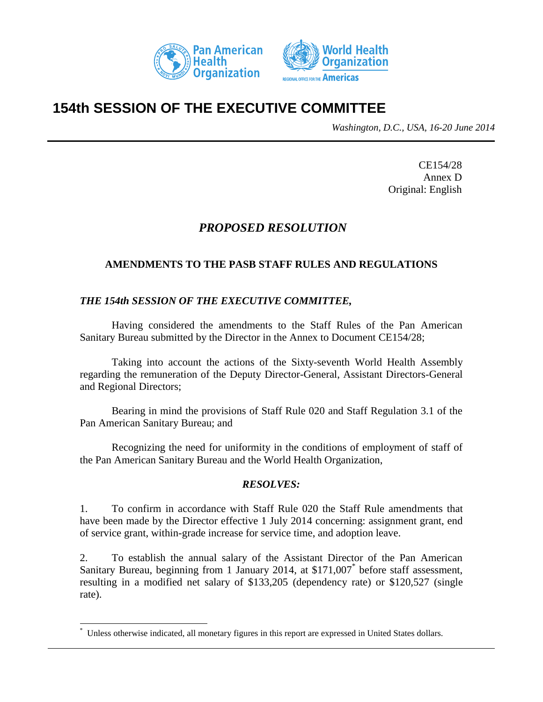



# **154th SESSION OF THE EXECUTIVE COMMITTEE**

*Washington, D.C., USA, 16-20 June 2014*

CE154/28 Annex D Original: English

## *PROPOSED RESOLUTION*

## **AMENDMENTS TO THE PASB STAFF RULES AND REGULATIONS**

## *THE 154th SESSION OF THE EXECUTIVE COMMITTEE,*

Having considered the amendments to the Staff Rules of the Pan American Sanitary Bureau submitted by the Director in the Annex to Document CE154/28;

Taking into account the actions of the Sixty-seventh World Health Assembly regarding the remuneration of the Deputy Director-General, Assistant Directors-General and Regional Directors;

Bearing in mind the provisions of Staff Rule 020 and Staff Regulation 3.1 of the Pan American Sanitary Bureau; and

Recognizing the need for uniformity in the conditions of employment of staff of the Pan American Sanitary Bureau and the World Health Organization,

## *RESOLVES:*

1. To confirm in accordance with Staff Rule 020 the Staff Rule amendments that have been made by the Director effective 1 July 2014 concerning: assignment grant, end of service grant, within-grade increase for service time, and adoption leave.

2. To establish the annual salary of the Assistant Director of the Pan American Sanitary Bureau, beginning from 1 January 2014, at \$171,007\* before staff assessment, resulting in a modified net salary of \$133,205 (dependency rate) or \$120,527 (single rate).

l

<sup>\*</sup> Unless otherwise indicated, all monetary figures in this report are expressed in United States dollars.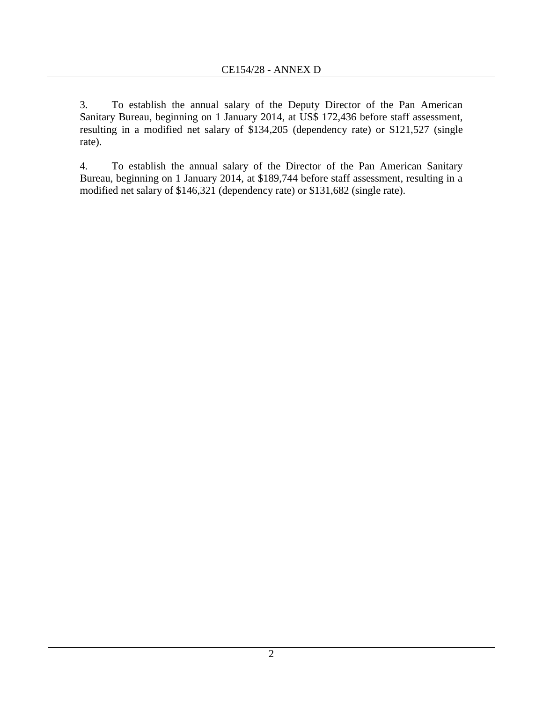3. To establish the annual salary of the Deputy Director of the Pan American Sanitary Bureau, beginning on 1 January 2014, at US\$ 172,436 before staff assessment, resulting in a modified net salary of \$134,205 (dependency rate) or \$121,527 (single rate).

4. To establish the annual salary of the Director of the Pan American Sanitary Bureau, beginning on 1 January 2014, at \$189,744 before staff assessment, resulting in a modified net salary of \$146,321 (dependency rate) or \$131,682 (single rate).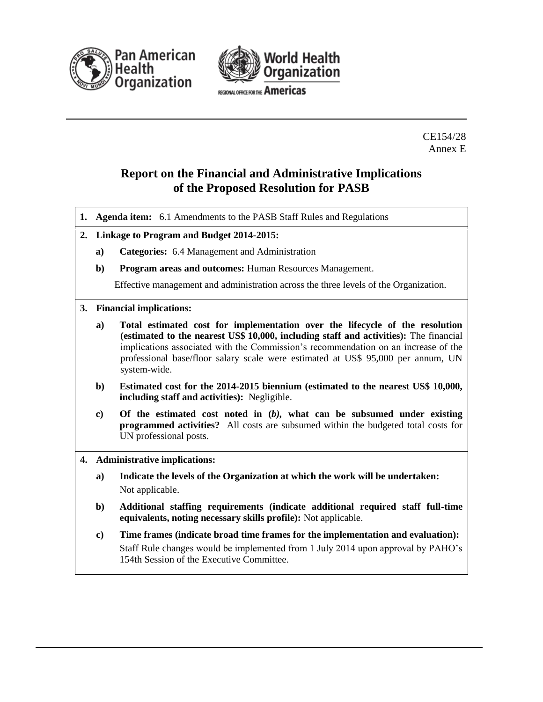



REGIONAL OFFICE FOR THE Americas

CE154/28 Annex E

## **Report on the Financial and Administrative Implications of the Proposed Resolution for PASB**

- **1. Agenda item:** 6.1 Amendments to the PASB Staff Rules and Regulations
- **2. Linkage to Program and Budget 2014-2015:**
	- **a) Categories:** 6.4 Management and Administration
	- **b) Program areas and outcomes:** Human Resources Management.

Effective management and administration across the three levels of the Organization.

#### **3. Financial implications:**

- **a) Total estimated cost for implementation over the lifecycle of the resolution (estimated to the nearest US\$ 10,000, including staff and activities):** The financial implications associated with the Commission's recommendation on an increase of the professional base/floor salary scale were estimated at US\$ 95,000 per annum, UN system-wide.
- **b) Estimated cost for the 2014-2015 biennium (estimated to the nearest US\$ 10,000, including staff and activities):** Negligible.
- **c) Of the estimated cost noted in (***b),* **what can be subsumed under existing programmed activities?** All costs are subsumed within the budgeted total costs for UN professional posts.
- **4. Administrative implications:**
	- **a) Indicate the levels of the Organization at which the work will be undertaken:** Not applicable.
	- **b) Additional staffing requirements (indicate additional required staff full-time equivalents, noting necessary skills profile):** Not applicable.
	- **c) Time frames (indicate broad time frames for the implementation and evaluation):**  Staff Rule changes would be implemented from 1 July 2014 upon approval by PAHO's 154th Session of the Executive Committee.